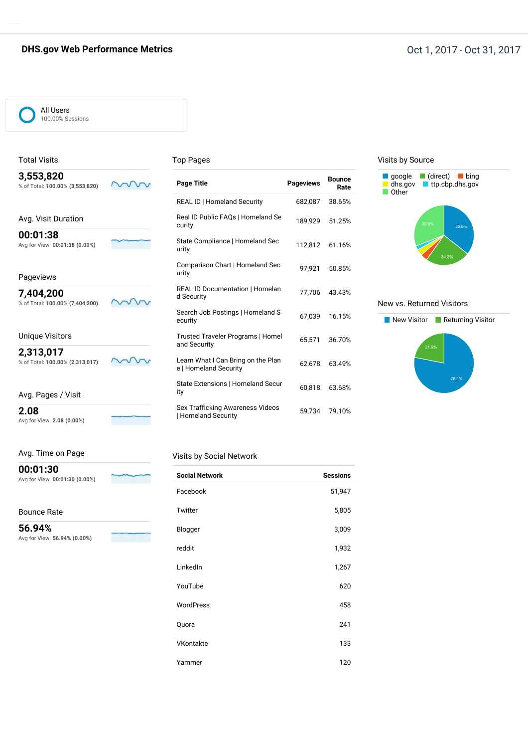#### **DHS.gov Web Performance Metrics DHS.gov Web Performance Metrics Oct 1, 2017** - Oct 31, 2017

#### All Users 100.00% Sessions

Total Visits **3,553,820**

#### Top Pages

| v.vvv.vev                       |  |
|---------------------------------|--|
| % of Total: 100.00% (3,553,820) |  |

| Avg. Visit Duration            |  |
|--------------------------------|--|
| 00:01:38                       |  |
| Avg for View: 00:01:38 (0.00%) |  |

#### Pageviews

**7,404,200** % of Total: **100.00% (7,404,200)**

#### Unique Visitors

**2,313,017**

% of Total: **100.00% (2,313,017)**

Avg. Pages / Visit

**2.08**

Avg for View: **2.08 (0.00%)**

Avg. Time on Page

Avg for View: **00:01:30 (0.00%)**

Avg for View: **56.94% (0.00%)**

**00:01:30**

Bounce Rate

**56.94%**

ww

vv

vv

#### Visits by Social Network

| <b>Social Network</b> | <b>Sessions</b> |
|-----------------------|-----------------|
| Facebook              | 51,947          |
| Twitter               | 5,805           |
| Blogger               | 3,009           |
| reddit                | 1,932           |
| LinkedIn              | 1,267           |
| YouTube               | 620             |
| WordPress             | 458             |
| Quora                 | 241             |
| VKontakte             | 133             |
| Yammer                | 120             |

**Bounce Page Title Pageviews Rate**

REAL ID | Homeland Security 682,087 38.65%

Real ID Public FAQs | Homeland Se 189,929 51.25% curity

State Compliance | Homeland Sec 112,812 61.16% urity

Comparison Chart | Homeland Sec 97,921 50.85%<br>urity

REAL ID Documentation | Homelan 77,706 43.43%<br>d Security

Search Job Postings | Homeland S 67,039 16.15%

Trusted Traveler Programs | Homel 65,571 36.70% and Security

Learn What I Can Bring on the Plan 62,678 63.49%<br>e | Homeland Security

State Extensions | Homeland Secur 60,818 63.68%

Sex Trafficking Awareness Videos 59,734 79.10%<br>| Homeland Security

#### Visits by Source



#### New vs. Returned Visitors

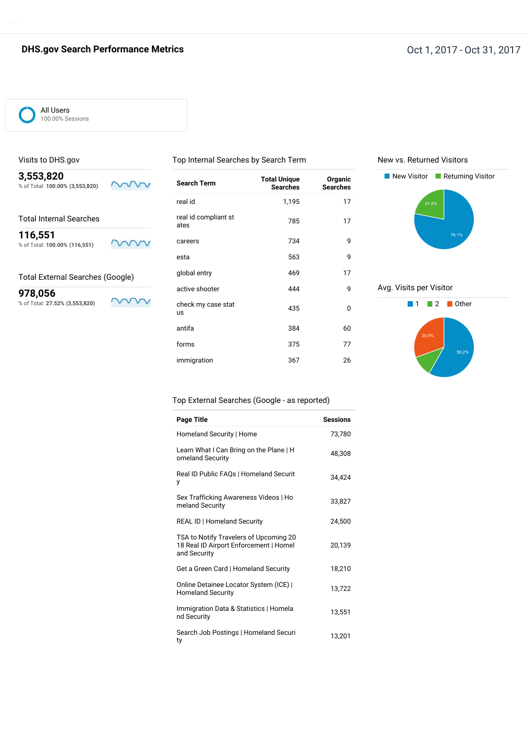# **DHS.gov Search Performance Metrics DHS.gov Search Performance Metrics Oct 1, 2017** - Oct 31, 2017

#### All Users 100.00% Sessions

Visits to DHS.gov

#### Top Internal Searches by Search Term

New vs. Returned Visitors



#### Total External Searches (Google)

ww

Г

**978,056** % of Total: **27.52% (3,553,820)**

| <b>Search Term</b>           | <b>Total Unique</b><br><b>Searches</b> | Organic<br><b>Searches</b> |
|------------------------------|----------------------------------------|----------------------------|
| real id                      | 1,195                                  | 17                         |
| real id compliant st<br>ates | 785                                    | 17                         |
| careers                      | 734                                    | 9                          |
| esta                         | 563                                    | 9                          |
| global entry                 | 469                                    | 17                         |
| active shooter               | 444                                    | 9                          |
| check my case stat<br>us     | 435                                    | $\Omega$                   |
| antifa                       | 384                                    | 60                         |
| forms                        | 375                                    | 77                         |
| immigration                  | 367                                    | 26                         |



## Avg. Visits per Visitor



#### Top External Searches (Google - as reported)

| <b>Page Title</b>                                                                                | <b>Sessions</b> |
|--------------------------------------------------------------------------------------------------|-----------------|
| Homeland Security   Home                                                                         | 73,780          |
| Learn What I Can Bring on the Plane   H<br>omeland Security                                      | 48.308          |
| Real ID Public FAQs   Homeland Securit<br>у                                                      | 34.424          |
| Sex Trafficking Awareness Videos   Ho<br>meland Security                                         | 33,827          |
| <b>REAL ID   Homeland Security</b>                                                               | 24,500          |
| TSA to Notify Travelers of Upcoming 20<br>18 Real ID Airport Enforcement   Homel<br>and Security | 20,139          |
| Get a Green Card   Homeland Security                                                             | 18,210          |
| Online Detainee Locator System (ICE)  <br><b>Homeland Security</b>                               | 13,722          |
| Immigration Data & Statistics   Homela<br>nd Security                                            | 13,551          |
| Search Job Postings   Homeland Securi<br>ty                                                      | 13,201          |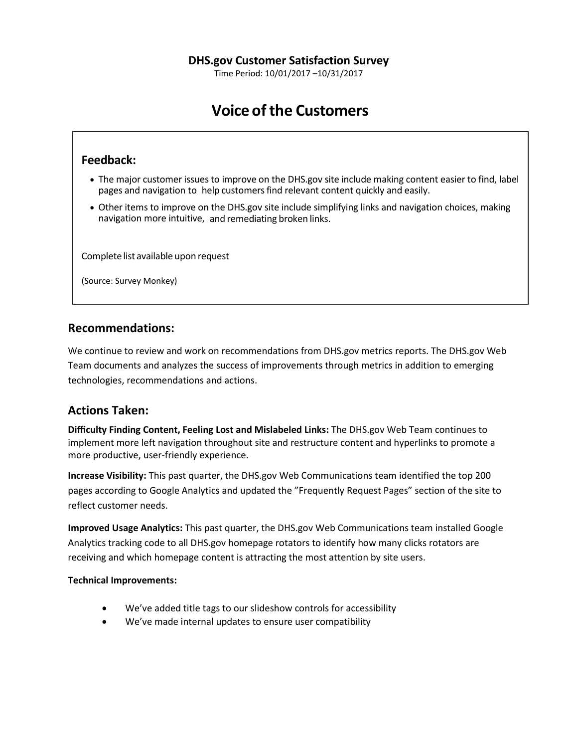Time Period: 10/01/2017 –10/31/2017

# **Voice of the Customers**

# **Feedback:**

- The major customer issues to improve on the DHS.gov site include making content easier to find, label pages and navigation to help customersfind relevant content quickly and easily.
- Other items to improve on the DHS.gov site include simplifying links and navigation choices, making navigation more intuitive, and remediating broken links.

Complete list available upon request

(Source: Survey Monkey)

# **Recommendations:**

We continue to review and work on recommendations from DHS.gov metrics reports. The DHS.gov Web Team documents and analyzes the success of improvements through metrics in addition to emerging technologies, recommendations and actions.

# **Actions Taken:**

**Difficulty Finding Content, Feeling Lost and Mislabeled Links:** The DHS.gov Web Team continues to implement more left navigation throughout site and restructure content and hyperlinks to promote a more productive, user-friendly experience.

**Increase Visibility:** This past quarter, the DHS.gov Web Communications team identified the top 200 pages according to Google Analytics and updated the "Frequently Request Pages" section of the site to reflect customer needs.

**Improved Usage Analytics:** This past quarter, the DHS.gov Web Communications team installed Google Analytics tracking code to all DHS.gov homepage rotators to identify how many clicks rotators are receiving and which homepage content is attracting the most attention by site users.

## **Technical Improvements:**

- We've added title tags to our slideshow controls for accessibility
- We've made internal updates to ensure user compatibility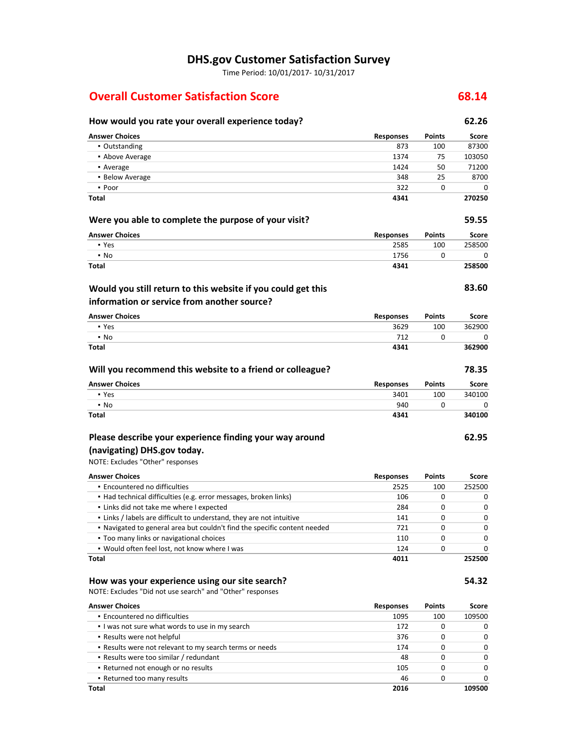# **DHS.gov Customer Satisfaction Survey**

Time Period: 10/01/2017- 10/31/2017

# **Overall Customer Satisfaction Score 68.14**

# **How would you rate your overall experience today? 62.26**

| <b>Answer Choices</b>                                                                             | <b>Responses</b> | Points        | Score        |
|---------------------------------------------------------------------------------------------------|------------------|---------------|--------------|
| • Outstanding                                                                                     | 873              | 100           | 87300        |
| • Above Average                                                                                   | 1374             | 75            | 103050       |
| • Average                                                                                         | 1424             | 50            | 71200        |
| • Below Average                                                                                   | 348              | 25            | 8700         |
| • Poor                                                                                            | 322              | 0             | 0            |
| Total                                                                                             | 4341             |               | 270250       |
| Were you able to complete the purpose of your visit?                                              |                  |               | 59.55        |
| <b>Answer Choices</b>                                                                             | <b>Responses</b> | Points        | <b>Score</b> |
| • Yes                                                                                             | 2585             | 100           | 258500       |
| $\blacksquare$ No                                                                                 | 1756             | 0             | 0            |
| <b>Total</b>                                                                                      | 4341             |               | 258500       |
| Would you still return to this website if you could get this                                      |                  |               | 83.60        |
| information or service from another source?                                                       |                  |               |              |
| <b>Answer Choices</b>                                                                             | <b>Responses</b> | Points        | Score        |
| • Yes                                                                                             | 3629             | 100           | 362900       |
| $\blacksquare$ No                                                                                 | 712              | 0             | 0            |
| <b>Total</b>                                                                                      | 4341             |               | 362900       |
| Will you recommend this website to a friend or colleague?                                         |                  |               | 78.35        |
| <b>Answer Choices</b>                                                                             | <b>Responses</b> | <b>Points</b> | Score        |
| • Yes                                                                                             | 3401             | 100           | 340100       |
| $\blacksquare$ No                                                                                 | 940              | 0             | 0            |
| Total                                                                                             | 4341             |               | 340100       |
| Please describe your experience finding your way around                                           |                  |               | 62.95        |
| (navigating) DHS.gov today.                                                                       |                  |               |              |
| NOTE: Excludes "Other" responses                                                                  |                  |               |              |
|                                                                                                   |                  |               |              |
| <b>Answer Choices</b>                                                                             | Responses        | Points        | Score        |
| • Encountered no difficulties<br>· Had technical difficulties (e.g. error messages, broken links) | 2525<br>106      | 100<br>0      | 252500<br>0  |
| . Links did not take me where I expected                                                          | 284              | 0             | 0            |
| . Links / labels are difficult to understand, they are not intuitive                              | 141              | 0             | 0            |
| . Navigated to general area but couldn't find the specific content needed                         | 721              | 0             | 0            |
| . Too many links or navigational choices                                                          | 110              | 0             | 0            |
| . Would often feel lost, not know where I was                                                     | 124              | 0             | 0            |
| Total                                                                                             | 4011             |               | 252500       |
| How was your experience using our site search?                                                    |                  |               | 54.32        |
| NOTE: Excludes "Did not use search" and "Other" responses                                         |                  |               |              |
| <b>Answer Choices</b>                                                                             | <b>Responses</b> | Points        | Score        |
| · Encountered no difficulties                                                                     | 1095             | 100           | 109500       |
| . I was not sure what words to use in my search                                                   | 172              | 0             | 0            |
| . Results were not helpful                                                                        | 376              | 0             | 0            |
| . Results were not relevant to my search terms or needs                                           | 174              | 0             | 0            |
| • Results were too similar / redundant                                                            | 48               | 0             | 0            |
| • Returned not enough or no results                                                               | 105              | 0             | 0            |
| . Returned too many results                                                                       | 46               | 0             | 0            |